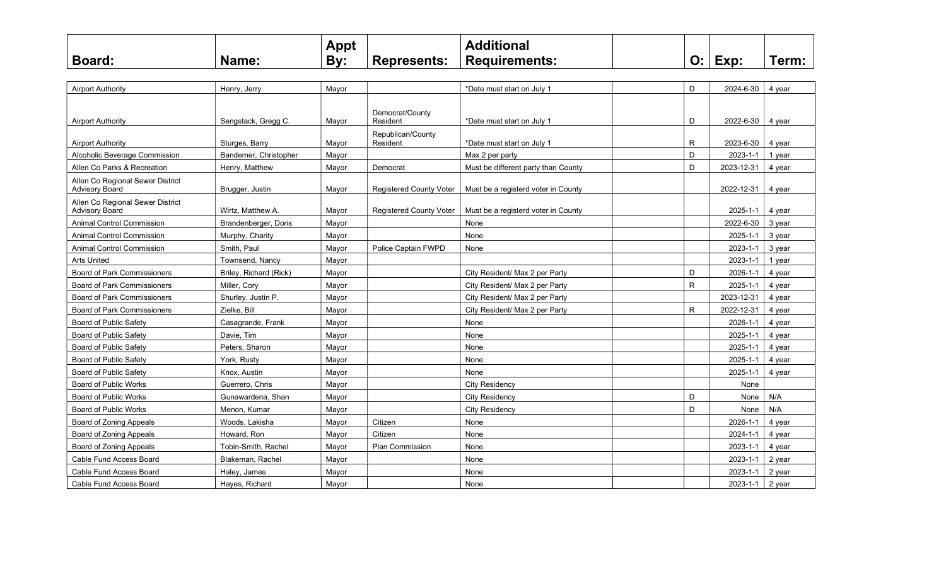|               |             | Appt |                    | <b>Additional</b>    |                      |      |      |
|---------------|-------------|------|--------------------|----------------------|----------------------|------|------|
| <b>Board:</b> | <b>Name</b> | By:  | <b>Represents:</b> | <b>Requirements:</b> | $\ddot{\phantom{0}}$ | Exp: | ⊺erm |

| <b>Airport Authority</b>                                  | Henry, Jerry           | Mayor |                                | *Date must start on July 1          | D           | 2024-6-30  | 4 year |
|-----------------------------------------------------------|------------------------|-------|--------------------------------|-------------------------------------|-------------|------------|--------|
| <b>Airport Authority</b>                                  | Sengstack, Gregg C.    | Mayor | Democrat/County<br>Resident    | *Date must start on July 1          | D           | 2022-6-30  | 4 year |
|                                                           |                        |       | Republican/County              |                                     |             |            |        |
| <b>Airport Authority</b>                                  | Sturges, Barry         | Mayor | Resident                       | *Date must start on July 1          | R           | 2023-6-30  | 4 year |
| Alcoholic Beverage Commission                             | Bandemer, Christopher  | Mayor |                                | Max 2 per party                     | D           | 2023-1-1   | 1 year |
| Allen Co Parks & Recreation                               | Henry, Matthew         | Mayor | Democrat                       | Must be different party than County | D           | 2023-12-31 | 4 year |
| Allen Co Regional Sewer District<br><b>Advisory Board</b> | Brugger, Justin        | Mayor | <b>Registered County Voter</b> | Must be a registerd voter in County |             | 2022-12-31 | 4 year |
| Allen Co Regional Sewer District<br><b>Advisory Board</b> | Wirtz, Matthew A.      | Mayor | <b>Registered County Voter</b> | Must be a registerd voter in County |             | 2025-1-1   | 4 year |
| <b>Animal Control Commission</b>                          | Brandenberger, Doris   | Mayor |                                | None                                |             | 2022-6-30  | 3 year |
| <b>Animal Control Commission</b>                          | Murphy, Charity        | Mayor |                                | None                                |             | 2025-1-1   | 3 year |
| <b>Animal Control Commission</b>                          | Smith, Paul            | Mayor | Police Captain FWPD            | None                                |             | 2023-1-1   | 3 year |
| <b>Arts United</b>                                        | Townsend, Nancy        | Mayor |                                |                                     |             | 2023-1-1   | 1 year |
| <b>Board of Park Commissioners</b>                        | Briley, Richard (Rick) | Mayor |                                | City Resident/ Max 2 per Party      | D           | 2026-1-1   | 4 year |
| <b>Board of Park Commissioners</b>                        | Miller, Cory           | Mayor |                                | City Resident/ Max 2 per Party      | R           | 2025-1-1   | 4 year |
| <b>Board of Park Commissioners</b>                        | Shurley, Justin P.     | Mayor |                                | City Resident/ Max 2 per Party      |             | 2023-12-31 | 4 year |
| <b>Board of Park Commissioners</b>                        | Zielke, Bill           | Mayor |                                | City Resident/ Max 2 per Party      | $\mathsf R$ | 2022-12-31 | 4 year |
| <b>Board of Public Safety</b>                             | Casagrande, Frank      | Mayor |                                | None                                |             | 2026-1-1   | 4 year |
| <b>Board of Public Safety</b>                             | Davie. Tim             | Mayor |                                | None                                |             | 2025-1-1   | 4 year |
| Board of Public Safety                                    | Peters, Sharon         | Mayor |                                | None                                |             | 2025-1-1   | 4 year |
| Board of Public Safety                                    | York, Rusty            | Mayor |                                | None                                |             | 2025-1-1   | 4 year |
| <b>Board of Public Safety</b>                             | Knox, Austin           | Mayor |                                | None                                |             | 2025-1-1   | 4 year |
| <b>Board of Public Works</b>                              | Guerrero, Chris        | Mayor |                                | <b>City Residency</b>               |             | None       |        |
| <b>Board of Public Works</b>                              | Gunawardena, Shan      | Mayor |                                | City Residency                      | D           | None       | N/A    |
| <b>Board of Public Works</b>                              | Menon. Kumar           | Mayor |                                | City Residency                      | D           | None       | N/A    |
| Board of Zoning Appeals                                   | Woods, Lakisha         | Mayor | Citizen                        | None                                |             | 2026-1-1   | 4 year |
| Board of Zoning Appeals                                   | Howard, Ron            | Mayor | Citizen                        | None                                |             | 2024-1-1   | 4 year |
| Board of Zoning Appeals                                   | Tobin-Smith, Rachel    | Mayor | Plan Commission                | None                                |             | 2023-1-1   | 4 year |
| Cable Fund Access Board                                   | Blakeman, Rachel       | Mayor |                                | None                                |             | 2023-1-1   | 2 year |
| Cable Fund Access Board                                   | Haley, James           | Mayor |                                | None                                |             | 2023-1-1   | 2 year |
| Cable Fund Access Board                                   | Hayes, Richard         | Mayor |                                | None                                |             | 2023-1-1   | 2 year |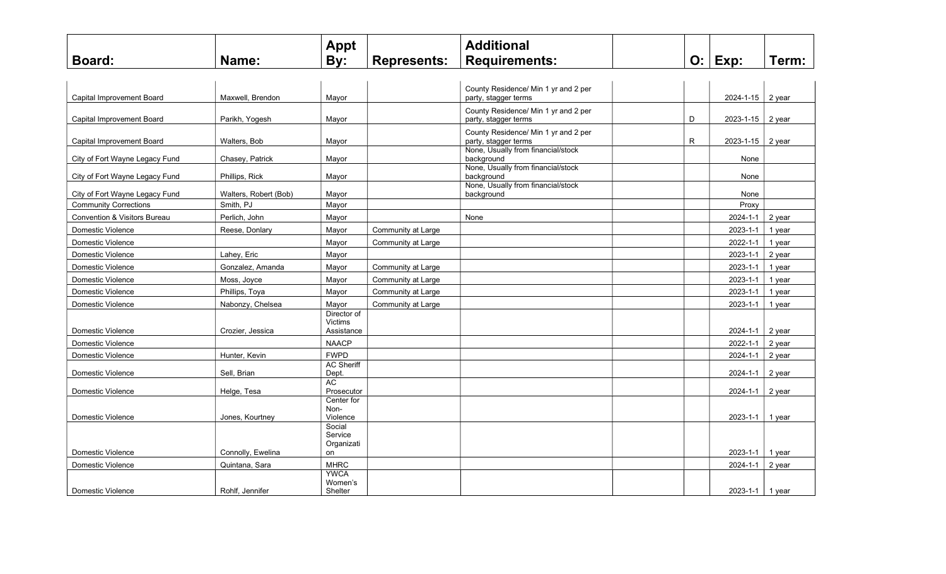|                                         |                       | <b>Appt</b>                          |                    | <b>Additional</b>                                            |   |                        |           |
|-----------------------------------------|-----------------------|--------------------------------------|--------------------|--------------------------------------------------------------|---|------------------------|-----------|
| <b>Board:</b>                           | Name:                 | By:                                  | <b>Represents:</b> | <b>Requirements:</b>                                         |   | $O:$ Exp:              | Term:     |
|                                         |                       |                                      |                    |                                                              |   |                        |           |
| Capital Improvement Board               | Maxwell, Brendon      | Mayor                                |                    | County Residence/ Min 1 yr and 2 per<br>party, stagger terms |   | $2024 - 1 - 15$ 2 year |           |
| Capital Improvement Board               | Parikh, Yogesh        | Mayor                                |                    | County Residence/ Min 1 yr and 2 per<br>party, stagger terms | D | 2023-1-15              | $ 2$ year |
| Capital Improvement Board               | Walters, Bob          | Mayor                                |                    | County Residence/ Min 1 yr and 2 per<br>party, stagger terms | R | 2023-1-15              | 2 year    |
| City of Fort Wayne Legacy Fund          | Chasey, Patrick       | Mayor                                |                    | None, Usually from financial/stock<br>background             |   | None                   |           |
| City of Fort Wayne Legacy Fund          | Phillips, Rick        | Mayor                                |                    | None, Usually from financial/stock<br>background             |   | None                   |           |
| City of Fort Wayne Legacy Fund          | Walters, Robert (Bob) | Mayor                                |                    | None, Usually from financial/stock<br>background             |   | None                   |           |
| <b>Community Corrections</b>            | Smith, PJ             | Mayor                                |                    |                                                              |   | Proxy                  |           |
| <b>Convention &amp; Visitors Bureau</b> | Perlich, John         | Mayor                                |                    | None                                                         |   | 2024-1-1               | 2 year    |
| Domestic Violence                       | Reese, Donlary        | Mayor                                | Community at Large |                                                              |   | 2023-1-1               | 1 year    |
| Domestic Violence                       |                       | Mayor                                | Community at Large |                                                              |   | 2022-1-1               | 1 year    |
| Domestic Violence                       | Lahey, Eric           | Mayor                                |                    |                                                              |   | 2023-1-1               | 2 year    |
| Domestic Violence                       | Gonzalez, Amanda      | Mayor                                | Community at Large |                                                              |   | 2023-1-1               | 1 year    |
| Domestic Violence                       | Moss, Joyce           | Mayor                                | Community at Large |                                                              |   | 2023-1-1               | 1 year    |
| Domestic Violence                       | Phillips, Toya        | Mayor                                | Community at Large |                                                              |   | 2023-1-1               | 1 year    |
| Domestic Violence                       | Nabonzy, Chelsea      | Mayor                                | Community at Large |                                                              |   | 2023-1-1               | 1 year    |
| <b>Domestic Violence</b>                | Crozier, Jessica      | Director of<br>Victims<br>Assistance |                    |                                                              |   | 2024-1-1               | 2 year    |
| Domestic Violence                       |                       | <b>NAACP</b>                         |                    |                                                              |   | 2022-1-1               | 2 year    |
| Domestic Violence                       | Hunter, Kevin         | <b>FWPD</b>                          |                    |                                                              |   | 2024-1-1               | 2 year    |
| Domestic Violence                       | Sell, Brian           | <b>AC Sheriff</b><br>Dept.           |                    |                                                              |   | 2024-1-1               | 2 year    |
| Domestic Violence                       | Helge, Tesa           | <b>AC</b><br>Prosecutor              |                    |                                                              |   | 2024-1-1               | 2 year    |
| Domestic Violence                       | Jones, Kourtney       | Center for<br>Non-<br>Violence       |                    |                                                              |   | 2023-1-1               | 1 year    |
|                                         |                       | Social<br>Service<br>Organizati      |                    |                                                              |   |                        |           |
| Domestic Violence                       | Connolly, Ewelina     | on                                   |                    |                                                              |   | 2023-1-1               | 1 year    |
| Domestic Violence                       | Quintana, Sara        | <b>MHRC</b>                          |                    |                                                              |   | 2024-1-1               | 2 year    |
| Domestic Violence                       | Rohlf, Jennifer       | <b>YWCA</b><br>Women's<br>Shelter    |                    |                                                              |   | 2023-1-1 1 year        |           |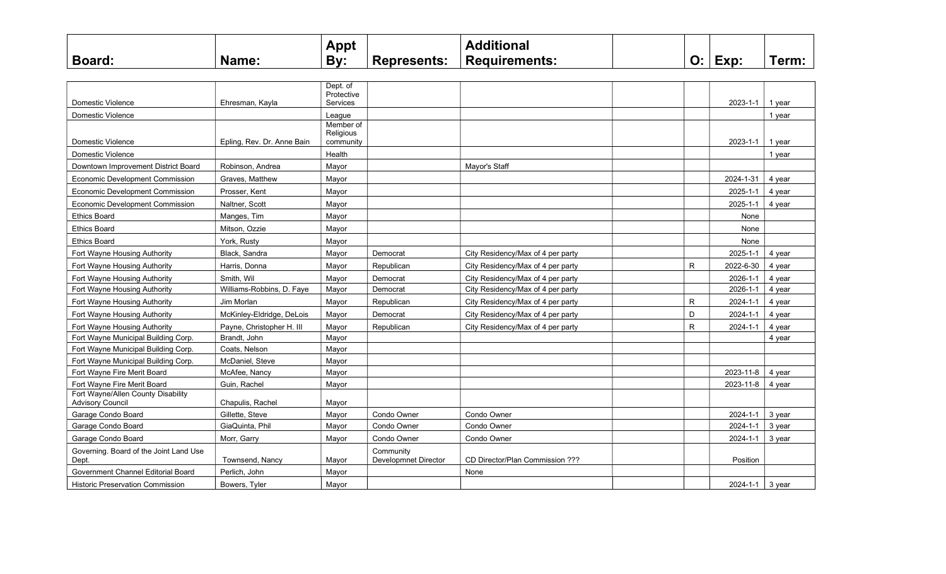|               |             | Appt |                    | <b>Additional</b>    |                      |      |      |
|---------------|-------------|------|--------------------|----------------------|----------------------|------|------|
| <b>Board:</b> | <b>Name</b> | By:  | <b>Represents:</b> | <b>Requirements:</b> | $\ddot{\phantom{0}}$ | Exp: | ⊺erm |

|                                                               |                            | Dept. of<br>Protective |                                   |                                   |              |                |        |
|---------------------------------------------------------------|----------------------------|------------------------|-----------------------------------|-----------------------------------|--------------|----------------|--------|
| Domestic Violence                                             | Ehresman, Kavla            | Services               |                                   |                                   |              | $2023 - 1 - 1$ | 1 vear |
| Domestic Violence                                             |                            | League                 |                                   |                                   |              |                | 1 year |
|                                                               |                            | Member of              |                                   |                                   |              |                |        |
| Domestic Violence                                             | Epling, Rev. Dr. Anne Bain | Religious<br>community |                                   |                                   |              | $2023 - 1 - 1$ | 1 year |
| Domestic Violence                                             |                            | Health                 |                                   |                                   |              |                | 1 year |
| Downtown Improvement District Board                           | Robinson, Andrea           | Mayor                  |                                   | Mayor's Staff                     |              |                |        |
| <b>Economic Development Commission</b>                        | Graves, Matthew            | Mayor                  |                                   |                                   |              | 2024-1-31      | 4 year |
| <b>Economic Development Commission</b>                        | Prosser, Kent              | Mayor                  |                                   |                                   |              | 2025-1-1       | 4 year |
| <b>Economic Development Commission</b>                        | Naltner, Scott             | Mayor                  |                                   |                                   |              | 2025-1-1       | 4 year |
| <b>Ethics Board</b>                                           | Manges, Tim                | Mayor                  |                                   |                                   |              | None           |        |
| <b>Ethics Board</b>                                           | Mitson, Ozzie              | Mayor                  |                                   |                                   |              | None           |        |
| <b>Ethics Board</b>                                           | York, Rusty                | Mayor                  |                                   |                                   |              | None           |        |
| Fort Wayne Housing Authority                                  | Black. Sandra              | Mayor                  | Democrat                          | City Residency/Max of 4 per party |              | 2025-1-1       | 4 year |
| Fort Wayne Housing Authority                                  | Harris, Donna              | Mayor                  | Republican                        | City Residency/Max of 4 per party | R            | 2022-6-30      | 4 year |
| Fort Wayne Housing Authority                                  | Smith, Wil                 | Mayor                  | Democrat                          | City Residency/Max of 4 per party |              | 2026-1-1       | 4 year |
| Fort Wayne Housing Authority                                  | Williams-Robbins, D. Faye  | Mayor                  | Democrat                          | City Residency/Max of 4 per party |              | 2026-1-1       | 4 year |
| Fort Wayne Housing Authority                                  | Jim Morlan                 | Mayor                  | Republican                        | City Residency/Max of 4 per party | $\mathsf{R}$ | 2024-1-1       | 4 year |
| Fort Wayne Housing Authority                                  | McKinley-Eldridge, DeLois  | Mayor                  | Democrat                          | City Residency/Max of 4 per party | D            | $2024 - 1 - 1$ | 4 year |
| Fort Wavne Housing Authority                                  | Payne, Christopher H. III  | Mayor                  | Republican                        | City Residency/Max of 4 per party | R.           | 2024-1-1       | 4 year |
| Fort Wayne Municipal Building Corp.                           | Brandt. John               | Mayor                  |                                   |                                   |              |                | 4 year |
| Fort Wayne Municipal Building Corp.                           | Coats, Nelson              | Mayor                  |                                   |                                   |              |                |        |
| Fort Wayne Municipal Building Corp.                           | McDaniel. Steve            | Mayor                  |                                   |                                   |              |                |        |
| Fort Wayne Fire Merit Board                                   | McAfee, Nancy              | Mayor                  |                                   |                                   |              | 2023-11-8      | 4 year |
| Fort Wayne Fire Merit Board                                   | Guin, Rachel               | Mayor                  |                                   |                                   |              | 2023-11-8      | 4 year |
| Fort Wayne/Allen County Disability<br><b>Advisory Council</b> | Chapulis, Rachel           | Mayor                  |                                   |                                   |              |                |        |
| Garage Condo Board                                            | Gillette, Steve            | Mayor                  | Condo Owner                       | Condo Owner                       |              | 2024-1-1       | 3 year |
| Garage Condo Board                                            | GiaQuinta, Phil            | Mayor                  | Condo Owner                       | Condo Owner                       |              | 2024-1-1       | 3 year |
| Garage Condo Board                                            | Morr, Garry                | Mayor                  | Condo Owner                       | Condo Owner                       |              | 2024-1-1       | 3 year |
| Governing. Board of the Joint Land Use<br>Dept.               | <b>Townsend, Nancy</b>     | Mayor                  | Community<br>Developmnet Director | CD Director/Plan Commission ???   |              | Position       |        |
| Government Channel Editorial Board                            | Perlich. John              | Mayor                  |                                   | None                              |              |                |        |
| <b>Historic Preservation Commission</b>                       | Bowers, Tyler              | Mayor                  |                                   |                                   |              | $2024 - 1 - 1$ | 3 year |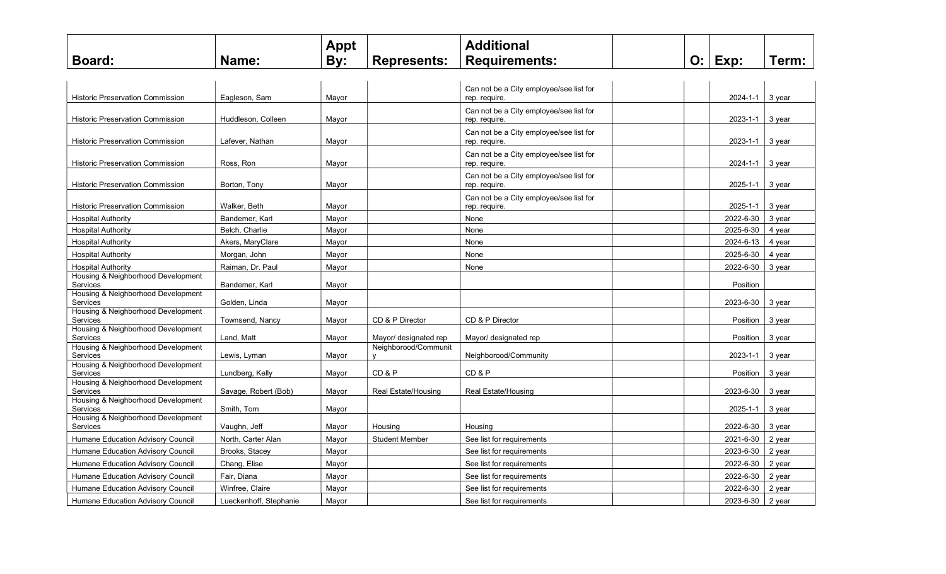|                                                |                        | Appt  |                           | <b>Additional</b>                                        |    |                |        |
|------------------------------------------------|------------------------|-------|---------------------------|----------------------------------------------------------|----|----------------|--------|
| Board:                                         | Name:                  | By:   | <b>Represents:</b>        | <b>Requirements:</b>                                     | O: | Exp:           | Term:  |
|                                                |                        |       |                           |                                                          |    |                |        |
|                                                |                        |       |                           | Can not be a City employee/see list for                  |    |                |        |
| <b>Historic Preservation Commission</b>        | Eagleson, Sam          | Mayor |                           | rep. require.                                            |    | 2024-1-1       | 3 year |
| Historic Preservation Commission               | Huddleson, Colleen     | Mayor |                           | Can not be a City employee/see list for<br>rep. require. |    | 2023-1-1       | 3 year |
| <b>Historic Preservation Commission</b>        | Lafever. Nathan        | Mayor |                           | Can not be a City employee/see list for<br>rep. require. |    | $2023 - 1 - 1$ | 3 vear |
| <b>Historic Preservation Commission</b>        | Ross, Ron              | Mayor |                           | Can not be a City employee/see list for<br>rep. require. |    | $2024 - 1 - 1$ | 3 year |
| Historic Preservation Commission               | Borton, Tony           | Mayor |                           | Can not be a City employee/see list for<br>rep. require. |    | 2025-1-1       | 3 year |
| <b>Historic Preservation Commission</b>        | Walker, Beth           | Mayor |                           | Can not be a City employee/see list for<br>rep. require. |    | $2025 - 1 - 1$ | 3 vear |
| <b>Hospital Authority</b>                      | Bandemer, Karl         | Mayor |                           | None                                                     |    | 2022-6-30      | 3 year |
| <b>Hospital Authority</b>                      | Belch, Charlie         | Mayor |                           | None                                                     |    | 2025-6-30      | 4 year |
| <b>Hospital Authority</b>                      | Akers, MaryClare       | Mayor |                           | None                                                     |    | 2024-6-13      | 4 year |
| <b>Hospital Authority</b>                      | Morgan, John           | Mayor |                           | None                                                     |    | 2025-6-30      | 4 year |
| <b>Hospital Authority</b>                      | Raiman, Dr. Paul       | Mayor |                           | None                                                     |    | 2022-6-30      | 3 year |
| Housing & Neighborhood Development<br>Services | Bandemer, Karl         | Mayor |                           |                                                          |    | Position       |        |
| Housing & Neighborhood Development<br>Services | Golden, Linda          | Mayor |                           |                                                          |    | 2023-6-30      | 3 year |
| Housing & Neighborhood Development<br>Services | Townsend, Nancy        | Mayor | CD & P Director           | CD & P Director                                          |    | Position       | 3 year |
| Housing & Neighborhood Development<br>Services | Land. Matt             | Mayor | Mayor/ designated rep     | Mayor/ designated rep                                    |    | Position       | 3 year |
| Housing & Neighborhood Development<br>Services | Lewis, Lyman           | Mayor | Neighborood/Communit<br>v | Neighborood/Community                                    |    | 2023-1-1       | 3 year |
| Housing & Neighborhood Development<br>Services | Lundberg, Kelly        | Mayor | CD&P                      | CD&P                                                     |    | Position       | 3 year |
| Housing & Neighborhood Development             |                        |       |                           |                                                          |    |                |        |
| Services                                       | Savage, Robert (Bob)   | Mayor | Real Estate/Housing       | Real Estate/Housing                                      |    | 2023-6-30      | 3 year |
| Housing & Neighborhood Development<br>Services | Smith. Tom             | Mayor |                           |                                                          |    | 2025-1-1       | 3 year |
| Housing & Neighborhood Development<br>Services | Vaughn, Jeff           | Mayor | Housing                   | Housing                                                  |    | 2022-6-30      | 3 year |
| Humane Education Advisory Council              | North, Carter Alan     | Mayor | <b>Student Member</b>     | See list for requirements                                |    | 2021-6-30      | 2 year |
| Humane Education Advisory Council              | Brooks, Stacey         | Mayor |                           | See list for requirements                                |    | 2023-6-30      | 2 year |
| Humane Education Advisory Council              | Chang, Elise           | Mayor |                           | See list for requirements                                |    | 2022-6-30      | 2 year |
| Humane Education Advisory Council              | Fair, Diana            | Mayor |                           | See list for requirements                                |    | 2022-6-30      | 2 year |
| Humane Education Advisory Council              | Winfree, Claire        | Mayor |                           | See list for requirements                                |    | 2022-6-30      | 2 year |
| Humane Education Advisory Council              | Lueckenhoff, Stephanie | Mayor |                           | See list for requirements                                |    | 2023-6-30      | 2 year |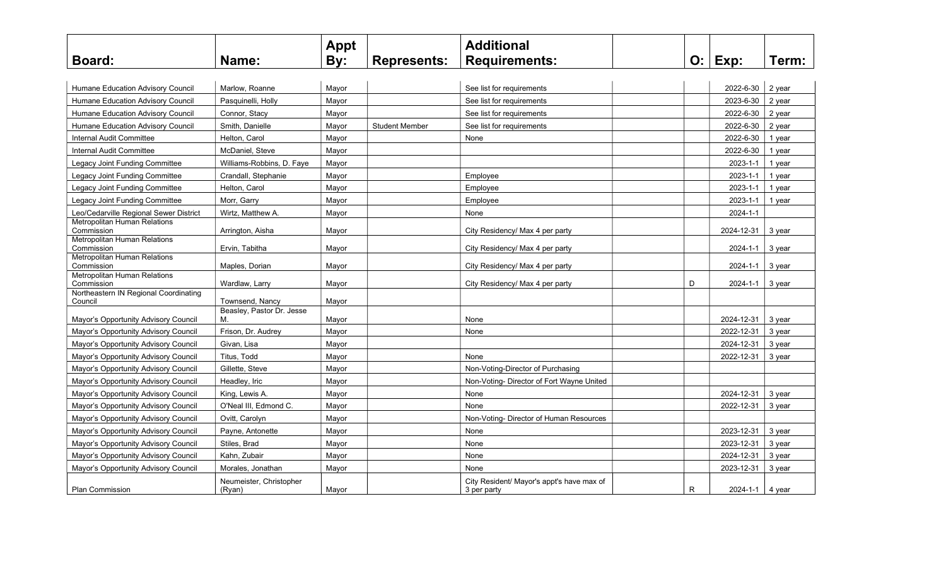|                                                     |                                   | <b>Appt</b> |                       | <b>Additional</b>                                        |   |                 |        |
|-----------------------------------------------------|-----------------------------------|-------------|-----------------------|----------------------------------------------------------|---|-----------------|--------|
| <b>Board:</b>                                       | Name:                             | By:         | <b>Represents:</b>    | <b>Requirements:</b>                                     |   | $O:$ Exp:       | Term:  |
|                                                     |                                   |             |                       |                                                          |   |                 |        |
| Humane Education Advisory Council                   | Marlow, Roanne                    | Mayor       |                       | See list for requirements                                |   | 2022-6-30       | 2 year |
| Humane Education Advisory Council                   | Pasquinelli, Holly                | Mayor       |                       | See list for requirements                                |   | 2023-6-30       | 2 year |
| Humane Education Advisory Council                   | Connor, Stacy                     | Mayor       |                       | See list for requirements                                |   | 2022-6-30       | 2 year |
| <b>Humane Education Advisory Council</b>            | Smith, Danielle                   | Mayor       | <b>Student Member</b> | See list for requirements                                |   | 2022-6-30       | 2 year |
| <b>Internal Audit Committee</b>                     | Helton, Carol                     | Mayor       |                       | None                                                     |   | 2022-6-30       | 1 year |
| <b>Internal Audit Committee</b>                     | McDaniel, Steve                   | Mayor       |                       |                                                          |   | 2022-6-30       | 1 year |
| Legacy Joint Funding Committee                      | Williams-Robbins, D. Faye         | Mayor       |                       |                                                          |   | 2023-1-1        | 1 year |
| Legacy Joint Funding Committee                      | Crandall, Stephanie               | Mayor       |                       | Employee                                                 |   | 2023-1-1        | 1 year |
| Legacy Joint Funding Committee                      | Helton, Carol                     | Mayor       |                       | Employee                                                 |   | 2023-1-1        | 1 year |
| Legacy Joint Funding Committee                      | Morr, Garry                       | Mayor       |                       | Employee                                                 |   | 2023-1-1        | 1 year |
| Leo/Cedarville Regional Sewer District              | Wirtz, Matthew A.                 | Mayor       |                       | None                                                     |   | 2024-1-1        |        |
| <b>Metropolitan Human Relations</b>                 |                                   |             |                       |                                                          |   |                 |        |
| Commission<br>Metropolitan Human Relations          | Arrington, Aisha                  | Mayor       |                       | City Residency/ Max 4 per party                          |   | 2024-12-31      | 3 year |
| Commission                                          | Ervin, Tabitha                    | Mayor       |                       | City Residency/ Max 4 per party                          |   | 2024-1-1        | 3 year |
| Metropolitan Human Relations<br>Commission          | Maples, Dorian                    | Mayor       |                       | City Residency/ Max 4 per party                          |   | 2024-1-1        | 3 year |
| <b>Metropolitan Human Relations</b>                 |                                   |             |                       |                                                          |   |                 |        |
| Commission<br>Northeastern IN Regional Coordinating | Wardlaw, Larry                    | Mayor       |                       | City Residency/ Max 4 per party                          | D | 2024-1-1        | 3 year |
| Council                                             | Townsend, Nancy                   | Mayor       |                       |                                                          |   |                 |        |
|                                                     | Beasley, Pastor Dr. Jesse         |             |                       |                                                          |   |                 |        |
| Mayor's Opportunity Advisory Council                | М.                                | Mayor       |                       | None                                                     |   | 2024-12-31      | 3 year |
| Mayor's Opportunity Advisory Council                | Frison, Dr. Audrey                | Mayor       |                       | None                                                     |   | 2022-12-31      | 3 year |
| Mayor's Opportunity Advisory Council                | Givan, Lisa                       | Mayor       |                       |                                                          |   | 2024-12-31      | 3 year |
| Mayor's Opportunity Advisory Council                | Titus, Todd                       | Mayor       |                       | None                                                     |   | 2022-12-31      | 3 year |
| Mayor's Opportunity Advisory Council                | Gillette, Steve                   | Mayor       |                       | Non-Voting-Director of Purchasing                        |   |                 |        |
| Mayor's Opportunity Advisory Council                | Headley, Iric                     | Mayor       |                       | Non-Voting-Director of Fort Wayne United                 |   |                 |        |
| Mayor's Opportunity Advisory Council                | King, Lewis A.                    | Mayor       |                       | None                                                     |   | 2024-12-31      | 3 year |
| Mayor's Opportunity Advisory Council                | O'Neal III, Edmond C.             | Mayor       |                       | None                                                     |   | 2022-12-31      | 3 year |
| Mayor's Opportunity Advisory Council                | Ovitt, Carolyn                    | Mayor       |                       | Non-Voting-Director of Human Resources                   |   |                 |        |
| Mayor's Opportunity Advisory Council                | Payne, Antonette                  | Mayor       |                       | None                                                     |   | 2023-12-31      | 3 year |
| Mayor's Opportunity Advisory Council                | Stiles, Brad                      | Mayor       |                       | None                                                     |   | 2023-12-31      | 3 year |
| Mayor's Opportunity Advisory Council                | Kahn, Zubair                      | Mayor       |                       | None                                                     |   | 2024-12-31      | 3 year |
| Mayor's Opportunity Advisory Council                | Morales, Jonathan                 | Mayor       |                       | None                                                     |   | 2023-12-31      | 3 year |
| <b>Plan Commission</b>                              | Neumeister, Christopher<br>(Ryan) | Mayor       |                       | City Resident/ Mayor's appt's have max of<br>3 per party | R | 2024-1-1 4 year |        |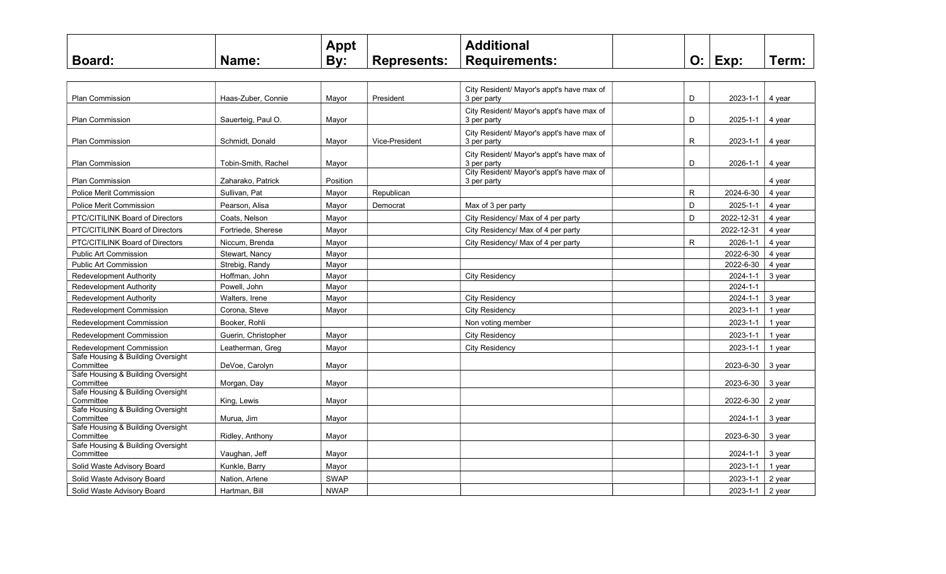|              |                   | Appt |                    | <b>ditional</b>      |                           |      |     |
|--------------|-------------------|------|--------------------|----------------------|---------------------------|------|-----|
| <b>Board</b> | Namo <sup>.</sup> | By:  | <b>Represents:</b> | <b>Requirements:</b> | -<br>$\ddot{\phantom{0}}$ | Exp: | ērm |

| <b>Plan Commission</b>                         | Haas-Zuber, Connie  | Mayor       | President      | City Resident/ Mayor's appt's have max of<br>3 per party | D            | 2023-1-1       | 4 year |
|------------------------------------------------|---------------------|-------------|----------------|----------------------------------------------------------|--------------|----------------|--------|
| <b>Plan Commission</b>                         | Sauerteig, Paul O.  | Mayor       |                | City Resident/ Mayor's appt's have max of<br>3 per party | D            | 2025-1-1       | 4 year |
| <b>Plan Commission</b>                         | Schmidt. Donald     | Mayor       | Vice-President | City Resident/ Mayor's appt's have max of<br>3 per party | R            | 2023-1-1       | 4 year |
| Plan Commission                                | Tobin-Smith, Rachel | Mayor       |                | City Resident/ Mayor's appt's have max of<br>3 per party | D            | 2026-1-1       | 4 year |
| <b>Plan Commission</b>                         | Zaharako, Patrick   | Position    |                | City Resident/ Mayor's appt's have max of<br>3 per party |              |                | 4 year |
| Police Merit Commission                        | Sullivan, Pat       | Mayor       | Republican     |                                                          | $\mathsf{R}$ | 2024-6-30      | 4 year |
| <b>Police Merit Commission</b>                 | Pearson, Alisa      | Mayor       | Democrat       | Max of 3 per party                                       | D            | 2025-1-1       | 4 year |
| PTC/CITILINK Board of Directors                | Coats, Nelson       | Mayor       |                | City Residency/ Max of 4 per party                       | D            | 2022-12-31     | 4 year |
| PTC/CITILINK Board of Directors                | Fortriede, Sherese  | Mayor       |                | City Residency/ Max of 4 per party                       |              | 2022-12-31     | 4 year |
| PTC/CITILINK Board of Directors                | Niccum. Brenda      | Mayor       |                | City Residency/ Max of 4 per party                       | R.           | 2026-1-1       | 4 year |
| <b>Public Art Commission</b>                   | Stewart, Nancy      | Mayor       |                |                                                          |              | 2022-6-30      | 4 vear |
| <b>Public Art Commission</b>                   | Strebig, Randy      | Mayor       |                |                                                          |              | 2022-6-30      | 4 year |
| <b>Redevelopment Authority</b>                 | Hoffman, John       | Mayor       |                | City Residency                                           |              | $2024 - 1 - 1$ | 3 year |
| <b>Redevelopment Authority</b>                 | Powell, John        | Mayor       |                |                                                          |              | $2024 - 1 - 1$ |        |
| <b>Redevelopment Authority</b>                 | Walters, Irene      | Mayor       |                | <b>City Residency</b>                                    |              | 2024-1-1       | 3 year |
| Redevelopment Commission                       | Corona, Steve       | Mayor       |                | City Residency                                           |              | 2023-1-1       | 1 year |
| Redevelopment Commission                       | Booker, Rohli       |             |                | Non voting member                                        |              | 2023-1-1       | 1 year |
| Redevelopment Commission                       | Guerin, Christopher | Mayor       |                | <b>City Residency</b>                                    |              | 2023-1-1       | 1 year |
| Redevelopment Commission                       | Leatherman, Greg    | Mayor       |                | <b>City Residency</b>                                    |              | 2023-1-1       | 1 year |
| Safe Housing & Building Oversight<br>Committee | DeVoe, Carolyn      | Mayor       |                |                                                          |              | 2023-6-30      | 3 year |
| Safe Housing & Building Oversight<br>Committee | Morgan, Day         | Mayor       |                |                                                          |              | 2023-6-30      | 3 year |
| Safe Housing & Building Oversight<br>Committee | King, Lewis         | Mayor       |                |                                                          |              | 2022-6-30      | 2 year |
| Safe Housing & Building Oversight<br>Committee | Murua, Jim          | Mayor       |                |                                                          |              | 2024-1-1       | 3 year |
| Safe Housing & Building Oversight<br>Committee | Ridley, Anthony     | Mayor       |                |                                                          |              | 2023-6-30      | 3 year |
| Safe Housing & Building Oversight<br>Committee | Vaughan, Jeff       | Mayor       |                |                                                          |              | 2024-1-1       | 3 year |
| Solid Waste Advisory Board                     | Kunkle, Barry       | Mayor       |                |                                                          |              | 2023-1-1       | 1 year |
| Solid Waste Advisory Board                     | Nation, Arlene      | <b>SWAP</b> |                |                                                          |              | 2023-1-1       | 2 year |
| Solid Waste Advisory Board                     | Hartman, Bill       | <b>NWAP</b> |                |                                                          |              | 2023-1-1       | 2 year |